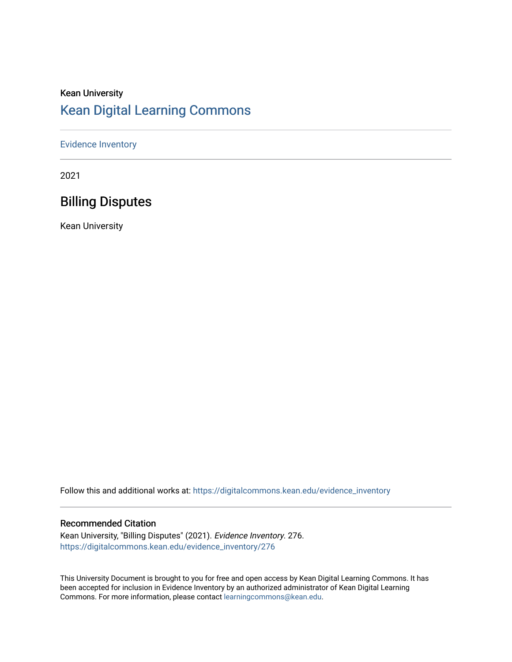#### Kean University [Kean Digital Learning Commons](https://digitalcommons.kean.edu/)

#### [Evidence Inventory](https://digitalcommons.kean.edu/evidence_inventory)

2021

#### Billing Disputes

Kean University

Follow this and additional works at: [https://digitalcommons.kean.edu/evidence\\_inventory](https://digitalcommons.kean.edu/evidence_inventory?utm_source=digitalcommons.kean.edu%2Fevidence_inventory%2F276&utm_medium=PDF&utm_campaign=PDFCoverPages)

#### Recommended Citation

Kean University, "Billing Disputes" (2021). Evidence Inventory. 276. [https://digitalcommons.kean.edu/evidence\\_inventory/276](https://digitalcommons.kean.edu/evidence_inventory/276?utm_source=digitalcommons.kean.edu%2Fevidence_inventory%2F276&utm_medium=PDF&utm_campaign=PDFCoverPages)

This University Document is brought to you for free and open access by Kean Digital Learning Commons. It has been accepted for inclusion in Evidence Inventory by an authorized administrator of Kean Digital Learning Commons. For more information, please contact [learningcommons@kean.edu.](mailto:learningcommons@kean.edu)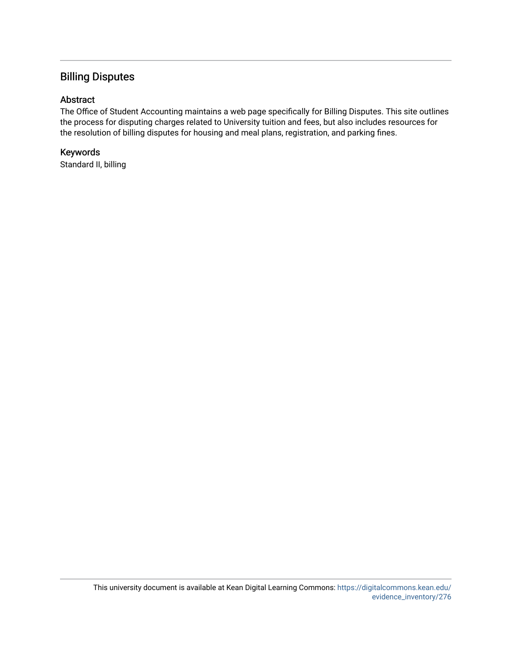#### Billing Disputes

#### Abstract

The Office of Student Accounting maintains a web page specifically for Billing Disputes. This site outlines the process for disputing charges related to University tuition and fees, but also includes resources for the resolution of billing disputes for housing and meal plans, registration, and parking fines.

#### Keywords

Standard II, billing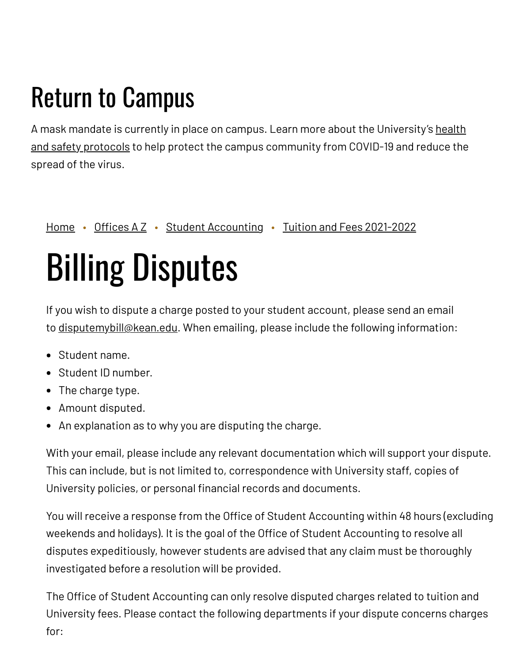## Return to Campus

A mask mandate is currently in place on campus. Learn more about the [University's](https://www.kean.edu/welcome-fall-2021-semester) health and safety protocols to help protect the campus community from COVID-19 and reduce the spread of the virus.

[Home](https://www.kean.edu/) • [Offices](https://www.kean.edu/offices) A Z • Student [Accounting](https://www.kean.edu/offices/student-accounting) • Tuition and Fees [2021-2022](https://www.kean.edu/offices/student-accounting/tuition-and-fees-2021-2022)

# Billing Disputes

If you wish to dispute a charge posted to your student account, please send an email to [disputemybill@kean.edu.](mailto:disputemybill@kean.edu?subject=Dispute%20inquiry&body=Student%20Name%3A%20%0AStudent%20ID%3A%0ACharge%20Type%20(options%20include%20-%20Late%20Registration%20Fee%3B%20Re-Registration%20Fee%3B%20Late%20Payment%20Fee%3A%0ACharge%20Amount%3A%0AReason%20for%20dispute%3A) When emailing, please include the following information:

- Student name.
- Student ID number.
- The charge type.
- Amount disputed.
- An explanation as to why you are disputing the charge.

With your email, please include any relevant documentation which will support your dispute. This can include, but is not limited to, correspondence with University staff, copies of University policies, or personal financial records and documents.

You will receive a response from the Office of Student Accounting within 48 hours (excluding weekends and holidays). It is the goal of the Office of Student Accounting to resolve all disputes expeditiously, however students are advised that any claim must be thoroughly investigated before a resolution will be provided.

The Office of Student Accounting can only resolve disputed charges related to tuition and University fees. Please contact the following departments if your dispute concerns charges for: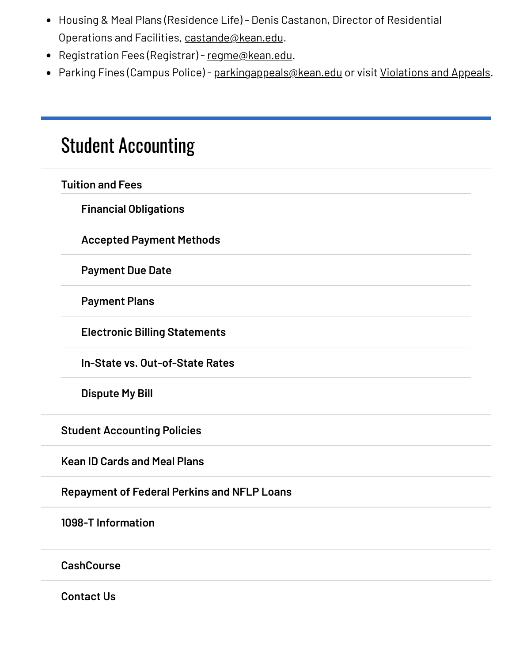- Housing & Meal Plans (Residence Life) Denis Castanon, Director of Residential Operations and Facilities, [castande@kean.edu](mailto:castande@kean.edu).
- Registration Fees (Registrar) [regme@kean.edu.](mailto:regme@kean.edu)
- Parking Fines (Campus Police) [parkingappeals@kean.edu](mailto:parkingappeals@kean.edu) or visit [Violations](https://www.kean.edu/offices/university-police/violations-and-appeals) and Appeals.

### Student [Accounting](https://www.kean.edu/offices/student-accounting)

|  | <b>Tuition and Fees</b>                            |
|--|----------------------------------------------------|
|  | <b>Financial Obligations</b>                       |
|  | <b>Accepted Payment Methods</b>                    |
|  | <b>Payment Due Date</b>                            |
|  | <b>Payment Plans</b>                               |
|  | <b>Electronic Billing Statements</b>               |
|  | In-State vs. Out-of-State Rates                    |
|  | <b>Dispute My Bill</b>                             |
|  | <b>Student Accounting Policies</b>                 |
|  | <b>Kean ID Cards and Meal Plans</b>                |
|  | <b>Repayment of Federal Perkins and NFLP Loans</b> |
|  | 1098-T Information                                 |
|  | <b>CashCourse</b>                                  |

**[Contact](https://www.kean.edu/offices/student-accounting/contact-us) Us**